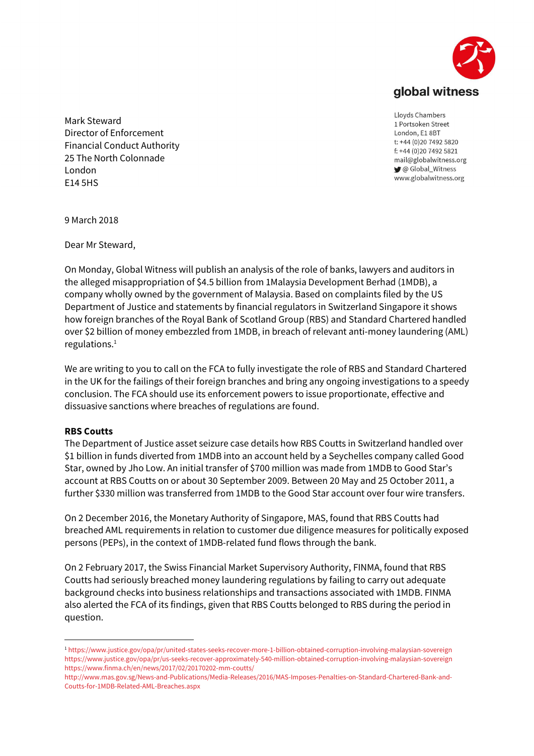

Mark Steward Director of Enforcement Financial Conduct Authority 25 The North Colonnade London E14 5HS

Lloyds Chambers 1 Portsoken Street London, E1 8BT t: +44 (0)20 7492 5820 f: +44 (0)20 7492 5821 mail@globalwitness.org C Global\_Witness www.globalwitness.org

9 March 2018

Dear Mr Steward,

On Monday, Global Witness will publish an analysis of the role of banks, lawyers and auditors in the alleged misappropriation of \$4.5 billion from 1Malaysia Development Berhad (1MDB), a company wholly owned by the government of Malaysia. Based on complaints filed by the US Department of Justice and statements by financial regulators in Switzerland Singapore it shows how foreign branches of the Royal Bank of Scotland Group (RBS) and Standard Chartered handled over \$2 billion of money embezzled from 1MDB, in breach of relevant anti-money laundering (AML) regulations.<sup>1</sup>

We are writing to you to call on the FCA to fully investigate the role of RBS and Standard Chartered in the UK for the failings of their foreign branches and bring any ongoing investigations to a speedy conclusion. The FCA should use its enforcement powers to issue proportionate, effective and dissuasive sanctions where breaches of regulations are found.

## RBS Coutts

-

The Department of Justice asset seizure case details how RBS Coutts in Switzerland handled over \$1 billion in funds diverted from 1MDB into an account held by a Seychelles company called Good Star, owned by Jho Low. An initial transfer of \$700 million was made from 1MDB to Good Star's account at RBS Coutts on or about 30 September 2009. Between 20 May and 25 October 2011, a further \$330 million was transferred from 1MDB to the Good Star account over four wire transfers.

On 2 December 2016, the Monetary Authority of Singapore, MAS, found that RBS Coutts had breached AML requirements in relation to customer due diligence measures for politically exposed persons (PEPs), in the context of 1MDB-related fund flows through the bank.

On 2 February 2017, the Swiss Financial Market Supervisory Authority, FINMA, found that RBS Coutts had seriously breached money laundering regulations by failing to carry out adequate background checks into business relationships and transactions associated with 1MDB. FINMA also alerted the FCA of its findings, given that RBS Coutts belonged to RBS during the period in question.

<sup>1</sup> https://www.justice.gov/opa/pr/united-states-seeks-recover-more-1-billion-obtained-corruption-involving-malaysian-sovereign https://www.justice.gov/opa/pr/us-seeks-recover-approximately-540-million-obtained-corruption-involving-malaysian-sovereign https://www.finma.ch/en/news/2017/02/20170202-mm-coutts/

http://www.mas.gov.sg/News-and-Publications/Media-Releases/2016/MAS-Imposes-Penalties-on-Standard-Chartered-Bank-and-Coutts-for-1MDB-Related-AML-Breaches.aspx